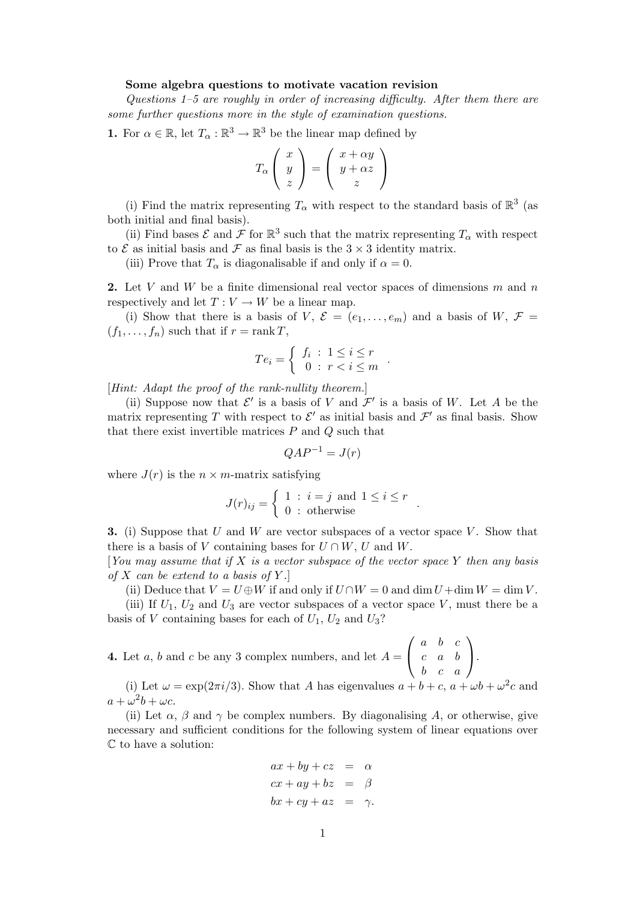## Some algebra questions to motivate vacation revision

Questions 1–5 are roughly in order of increasing difficulty. After them there are some further questions more in the style of examination questions.

**1.** For  $\alpha \in \mathbb{R}$ , let  $T_{\alpha}: \mathbb{R}^3 \to \mathbb{R}^3$  be the linear map defined by

$$
T_{\alpha} \left( \begin{array}{c} x \\ y \\ z \end{array} \right) = \left( \begin{array}{c} x + \alpha y \\ y + \alpha z \\ z \end{array} \right)
$$

(i) Find the matrix representing  $T_{\alpha}$  with respect to the standard basis of  $\mathbb{R}^3$  (as both initial and final basis).

(ii) Find bases  $\mathcal E$  and  $\mathcal F$  for  $\mathbb R^3$  such that the matrix representing  $T_\alpha$  with respect to  $\mathcal E$  as initial basis and  $\mathcal F$  as final basis is the  $3 \times 3$  identity matrix.

(iii) Prove that  $T_{\alpha}$  is diagonalisable if and only if  $\alpha = 0$ .

2. Let V and W be a finite dimensional real vector spaces of dimensions  $m$  and  $n$ respectively and let  $T: V \to W$  be a linear map.

(i) Show that there is a basis of V,  $\mathcal{E} = (e_1, \ldots, e_m)$  and a basis of W,  $\mathcal{F} =$  $(f_1, \ldots, f_n)$  such that if  $r = \text{rank } T$ ,

$$
Te_i = \left\{ \begin{array}{l} f_i : 1 \leq i \leq r \\ 0 : r < i \leq m \end{array} \right..
$$

[Hint: Adapt the proof of the rank-nullity theorem.]

(ii) Suppose now that  $\mathcal{E}'$  is a basis of V and  $\mathcal{F}'$  is a basis of W. Let A be the matrix representing T with respect to  $\mathcal{E}'$  as initial basis and  $\mathcal{F}'$  as final basis. Show that there exist invertible matrices  $P$  and  $Q$  such that

$$
QAP^{-1} = J(r)
$$

where  $J(r)$  is the  $n \times m$ -matrix satisfying

$$
J(r)_{ij} = \begin{cases} 1 : i = j \text{ and } 1 \le i \le r \\ 0 : \text{otherwise} \end{cases}.
$$

**3.** (i) Suppose that  $U$  and  $W$  are vector subspaces of a vector space  $V$ . Show that there is a basis of V containing bases for  $U \cap W$ , U and W.

[You may assume that if X is a vector subspace of the vector space Y then any basis of X can be extend to a basis of Y.

(ii) Deduce that  $V = U \oplus W$  if and only if  $U \cap W = 0$  and  $\dim U + \dim W = \dim V$ .

(iii) If  $U_1$ ,  $U_2$  and  $U_3$  are vector subspaces of a vector space V, must there be a basis of V containing bases for each of  $U_1$ ,  $U_2$  and  $U_3$ ?

4. Let a, b and c be any 3 complex numbers, and let  $A =$  $\sqrt{ }$  $\overline{1}$  $a \quad b \quad c$  $c \quad a \quad b$  $b \quad c \quad a$  $\setminus$  $\cdot$ 

(i) Let  $\omega = \exp(2\pi i/3)$ . Show that A has eigenvalues  $a + b + c$ ,  $a + \omega b + \omega^2 c$  and  $a + \omega^2 b + \omega c.$ 

(ii) Let  $\alpha$ ,  $\beta$  and  $\gamma$  be complex numbers. By diagonalising A, or otherwise, give necessary and sufficient conditions for the following system of linear equations over C to have a solution:

$$
ax + by + cz = \alpha
$$
  
\n
$$
cx + ay + bz = \beta
$$
  
\n
$$
bx + cy + az = \gamma
$$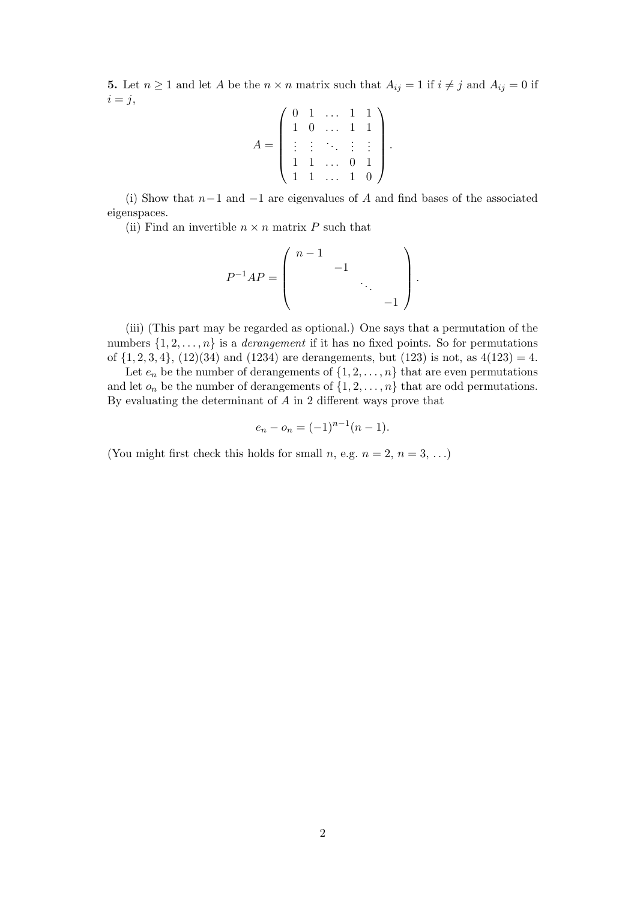**5.** Let  $n \geq 1$  and let A be the  $n \times n$  matrix such that  $A_{ij} = 1$  if  $i \neq j$  and  $A_{ij} = 0$  if  $i = j$ ,

$$
A = \left( \begin{array}{cccc} 0 & 1 & \dots & 1 & 1 \\ 1 & 0 & \dots & 1 & 1 \\ \vdots & \vdots & \ddots & \vdots & \vdots \\ 1 & 1 & \dots & 0 & 1 \\ 1 & 1 & \dots & 1 & 0 \end{array} \right).
$$

(i) Show that  $n-1$  and  $-1$  are eigenvalues of A and find bases of the associated eigenspaces.

(ii) Find an invertible  $n \times n$  matrix P such that

$$
P^{-1}AP = \begin{pmatrix} n-1 & & & \\ & -1 & & \\ & & \ddots & \\ & & & -1 \end{pmatrix}.
$$

(iii) (This part may be regarded as optional.) One says that a permutation of the numbers  $\{1, 2, \ldots, n\}$  is a *derangement* if it has no fixed points. So for permutations of  $\{1, 2, 3, 4\}$ ,  $(12)(34)$  and  $(1234)$  are derangements, but  $(123)$  is not, as  $4(123) = 4$ .

Let  $e_n$  be the number of derangements of  $\{1, 2, \ldots, n\}$  that are even permutations and let  $o_n$  be the number of derangements of  $\{1, 2, \ldots, n\}$  that are odd permutations. By evaluating the determinant of  $A$  in 2 different ways prove that

$$
e_n - o_n = (-1)^{n-1}(n-1).
$$

(You might first check this holds for small *n*, e.g.  $n = 2, n = 3, ...$ )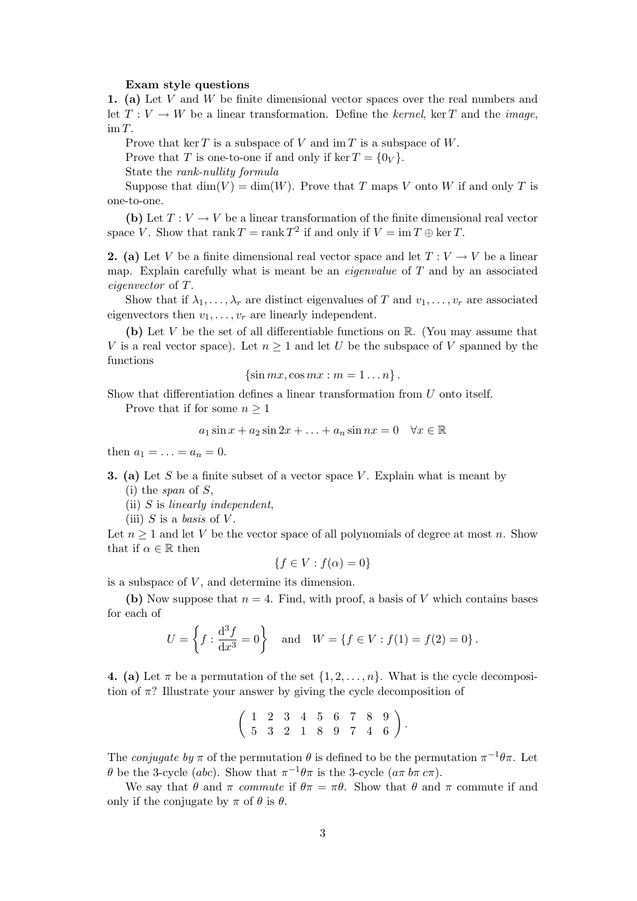## Exam style questions

1. (a) Let  $V$  and  $W$  be finite dimensional vector spaces over the real numbers and let  $T: V \to W$  be a linear transformation. Define the kernel, ker T and the *image*, im T.

Prove that ker T is a subspace of V and  $\operatorname{im} T$  is a subspace of W.

Prove that T is one-to-one if and only if ker  $T = \{0_V\}.$ 

State the rank-nullity formula

Suppose that  $\dim(V) = \dim(W)$ . Prove that T maps V onto W if and only T is one-to-one.

(b) Let  $T: V \to V$  be a linear transformation of the finite dimensional real vector space V. Show that rank  $T = \text{rank } T^2$  if and only if  $V = \text{im } T \oplus \text{ker } T$ .

**2.** (a) Let V be a finite dimensional real vector space and let  $T: V \to V$  be a linear map. Explain carefully what is meant be an *eigenvalue* of  $T$  and by an associated eigenvector of T.

Show that if  $\lambda_1, \ldots, \lambda_r$  are distinct eigenvalues of T and  $v_1, \ldots, v_r$  are associated eigenvectors then  $v_1, \ldots, v_r$  are linearly independent.

(b) Let V be the set of all differentiable functions on R. (You may assume that V is a real vector space). Let  $n \geq 1$  and let U be the subspace of V spanned by the functions

$$
\{\sin mx, \cos mx : m = 1 \dots n\}.
$$

Show that differentiation defines a linear transformation from U onto itself.

Prove that if for some  $n \geq 1$ 

 $a_1 \sin x + a_2 \sin 2x + ... + a_n \sin nx = 0 \quad \forall x \in \mathbb{R}$ 

then  $a_1 = \ldots = a_n = 0$ .

**3.** (a) Let S be a finite subset of a vector space V. Explain what is meant by

- $(i)$  the *span* of  $S$ ,
- (ii) S is linearly independent,
- (iii)  $S$  is a basis of  $V$ .

Let  $n \geq 1$  and let V be the vector space of all polynomials of degree at most n. Show that if  $\alpha \in \mathbb{R}$  then

$$
\{f \in V : f(\alpha) = 0\}
$$

is a subspace of  $V$ , and determine its dimension.

(b) Now suppose that  $n = 4$ . Find, with proof, a basis of V which contains bases for each of

$$
U = \left\{ f : \frac{d^3 f}{dx^3} = 0 \right\} \text{ and } W = \left\{ f \in V : f(1) = f(2) = 0 \right\}.
$$

4. (a) Let  $\pi$  be a permutation of the set  $\{1, 2, \ldots, n\}$ . What is the cycle decomposition of  $\pi$ ? Illustrate your answer by giving the cycle decomposition of

$$
\left(\begin{array}{cccccc} 1 & 2 & 3 & 4 & 5 & 6 & 7 & 8 & 9 \\ 5 & 3 & 2 & 1 & 8 & 9 & 7 & 4 & 6 \end{array}\right).
$$

The conjugate by  $\pi$  of the permutation  $\theta$  is defined to be the permutation  $\pi^{-1}\theta\pi$ . Let θ be the 3-cycle (abc). Show that  $\pi^{-1}\theta\pi$  is the 3-cycle (απ bπ cπ).

We say that  $\theta$  and  $\pi$  commute if  $\theta \pi = \pi \theta$ . Show that  $\theta$  and  $\pi$  commute if and only if the conjugate by  $\pi$  of  $\theta$  is  $\theta$ .